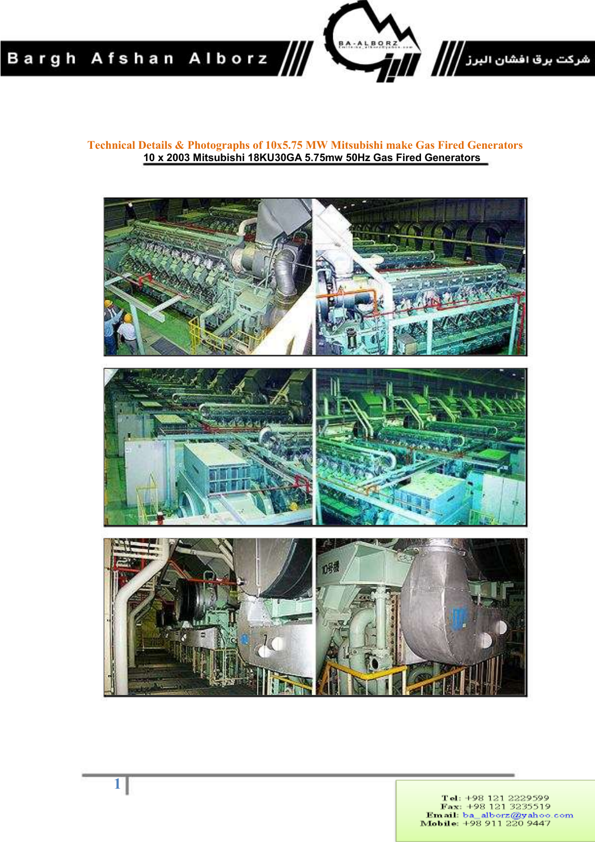

**Technical Details & Photographs of 10x5.75 MW Mitsubishi make Gas Fired Generators 10 x 2003 Mitsubishi 18KU30GA 5.75mw 50Hz Gas Fired Generators** 



Tel: +98 121 2229599<br>Fax: +98 121 3235519<br>**Email:** ba\_alborz@yahoo.com<br>**Mobile:** +98 911 220 9447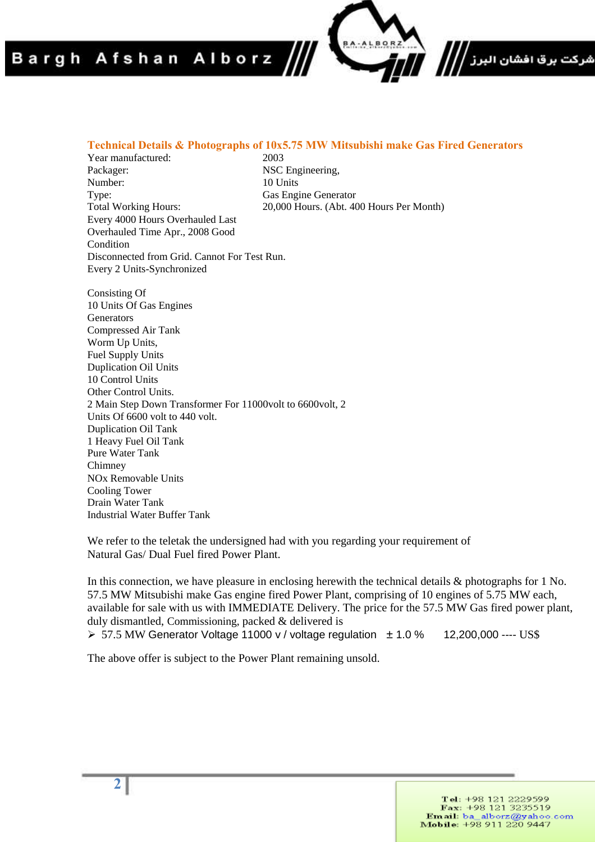## Bargh Afshan Alborz

#### **Technical Details & Photographs of 10x5.75 MW Mitsubishi make Gas Fired Generators**

Year manufactured: 2003<br>Packager: NSC Number: 10 Units Type: Gas Engine Generator Total Working Hours: 20,000 Hours. (Abt. 400 Hours Per Month) Every 4000 Hours Overhauled Last Overhauled Time Apr., 2008 Good Condition Disconnected from Grid. Cannot For Test Run. Every 2 Units-Synchronized

NSC Engineering,

Consisting Of 10 Units Of Gas Engines **Generators** Compressed Air Tank Worm Up Units, Fuel Supply Units Duplication Oil Units 10 Control Units Other Control Units. 2 Main Step Down Transformer For 11000volt to 6600volt, 2 Units Of 6600 volt to 440 volt. Duplication Oil Tank 1 Heavy Fuel Oil Tank Pure Water Tank Chimney NOx Removable Units Cooling Tower Drain Water Tank Industrial Water Buffer Tank

We refer to the teletak the undersigned had with you regarding your requirement of Natural Gas/ Dual Fuel fired Power Plant.

In this connection, we have pleasure in enclosing herewith the technical details & photographs for 1 No. 57.5 MW Mitsubishi make Gas engine fired Power Plant, comprising of 10 engines of 5.75 MW each, available for sale with us with IMMEDIATE Delivery. The price for the 57.5 MW Gas fired power plant, duly dismantled, Commissioning, packed & delivered is 57.5 MW Generator Voltage 11000 v / voltage regulation ± 1.0 % 12,200,000 ---- US\$

The above offer is subject to the Power Plant remaining unsold.

شرکت برق افشان البرز *||||*<br>\*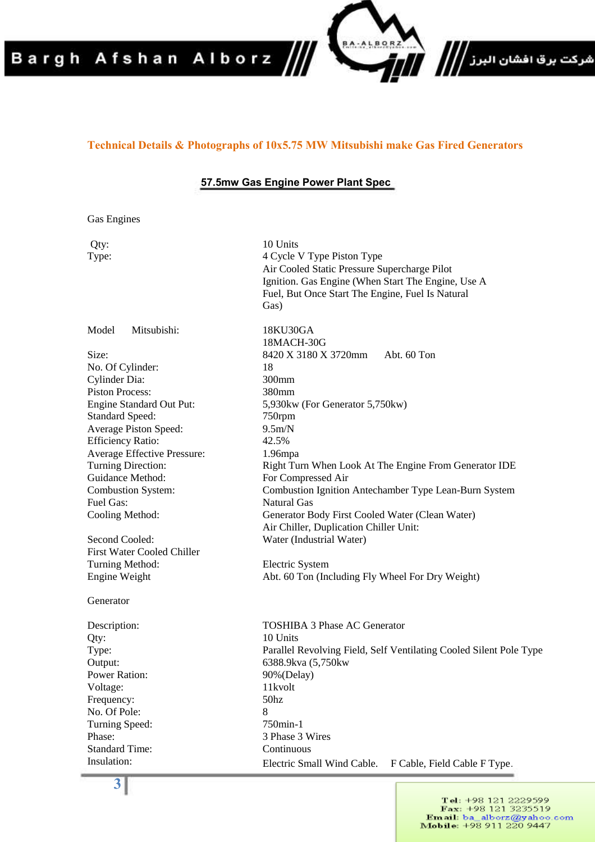# Bargh Afshan Alborz

#### **Technical Details & Photographs of 10x5.75 MW Mitsubishi make Gas Fired Generators**

BA-ALBOR

شركت برق افشان البرز /<mark>/</mark>//<br>.

#### **57.5mw Gas Engine Power Plant Spec**

Gas Engines

| Qty:                              | 10 Units                                                           |
|-----------------------------------|--------------------------------------------------------------------|
| Type:                             | 4 Cycle V Type Piston Type                                         |
|                                   | Air Cooled Static Pressure Supercharge Pilot                       |
|                                   | Ignition. Gas Engine (When Start The Engine, Use A                 |
|                                   | Fuel, But Once Start The Engine, Fuel Is Natural                   |
|                                   | Gas)                                                               |
| Model<br>Mitsubishi:              | 18KU30GA                                                           |
|                                   | 18MACH-30G                                                         |
| Size:                             | 8420 X 3180 X 3720mm<br>Abt. 60 Ton                                |
| No. Of Cylinder:                  | 18                                                                 |
| Cylinder Dia:                     | 300mm                                                              |
| <b>Piston Process:</b>            | 380mm                                                              |
| Engine Standard Out Put:          | 5,930kw (For Generator 5,750kw)                                    |
| <b>Standard Speed:</b>            | 750rpm                                                             |
| Average Piston Speed:             | 9.5m/N                                                             |
| <b>Efficiency Ratio:</b>          | 42.5%                                                              |
| Average Effective Pressure:       | $1.96$ mpa                                                         |
| Turning Direction:                | Right Turn When Look At The Engine From Generator IDE              |
| Guidance Method:                  | For Compressed Air                                                 |
| <b>Combustion System:</b>         | Combustion Ignition Antechamber Type Lean-Burn System              |
| Fuel Gas:                         | <b>Natural Gas</b>                                                 |
| Cooling Method:                   | Generator Body First Cooled Water (Clean Water)                    |
|                                   | Air Chiller, Duplication Chiller Unit:                             |
| Second Cooled:                    | Water (Industrial Water)                                           |
| <b>First Water Cooled Chiller</b> |                                                                    |
| Turning Method:                   | Electric System                                                    |
| Engine Weight                     | Abt. 60 Ton (Including Fly Wheel For Dry Weight)                   |
| Generator                         |                                                                    |
| Description:                      | <b>TOSHIBA 3 Phase AC Generator</b>                                |
| Qty:                              | 10 Units                                                           |
| Type:                             | Parallel Revolving Field, Self Ventilating Cooled Silent Pole Type |
| Output:                           | 6388.9kva (5,750kw                                                 |
| Power Ration:                     | 90% (Delay)                                                        |
| Voltage:                          | 11kvolt                                                            |
| Frequency:                        | 50 <sub>hz</sub>                                                   |
| No. Of Pole:                      | 8                                                                  |
| Turning Speed:                    | 750min-1                                                           |
| Phase:                            | 3 Phase 3 Wires                                                    |
| <b>Standard Time:</b>             | Continuous                                                         |
| Insulation:                       | Electric Small Wind Cable.<br>F Cable, Field Cable F Type.         |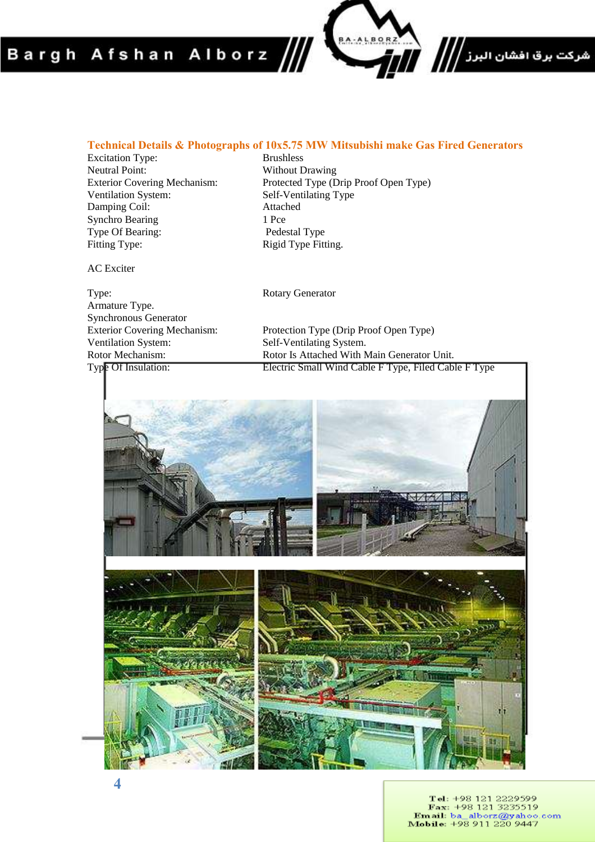## Bargh Afshan Alborz



### **Technical Details & Photographs of 10x5.75 MW Mitsubishi make Gas Fired Generators**<br>Excitation Type: **Excitation Type**

Excitation Type:<br>Neutral Point: Neutral Point: Without Drawing<br>
Exterior Covering Mechanism: Protected Type (D Damping Coil: Attacheddie Attacheddie Attacheddie Attacheddie Attacheddie Attacheddie Attacheddie Attacheddie A Synchro Bearing 1 Pce<br>
Type Of Bearing: 1 Pedestal Type Type Of Bearing: Fitting Type: Rigid Type Fitting.

Exterior Covering Mechanism: Protected Type (Drip Proof Open Type)<br>Ventilation System: Self-Ventilating Type Self-Ventilating Type<br>Attached

AC Exciter

Type: Rotary Generator Armature Type. Synchronous Generator<br>Exterior Covering Mechanism: Protection Type (Drip Proof Open Type) Ventilation System: Self-Ventilating System. Rotor Mechanism:<br>
Rotor Is Attached With Main Generator Unit.<br>
Type Of Insulation: Electric Small Wind Cable F Type, Filed Cab. Electric Small Wind Cable F Type, Filed Cable F Type